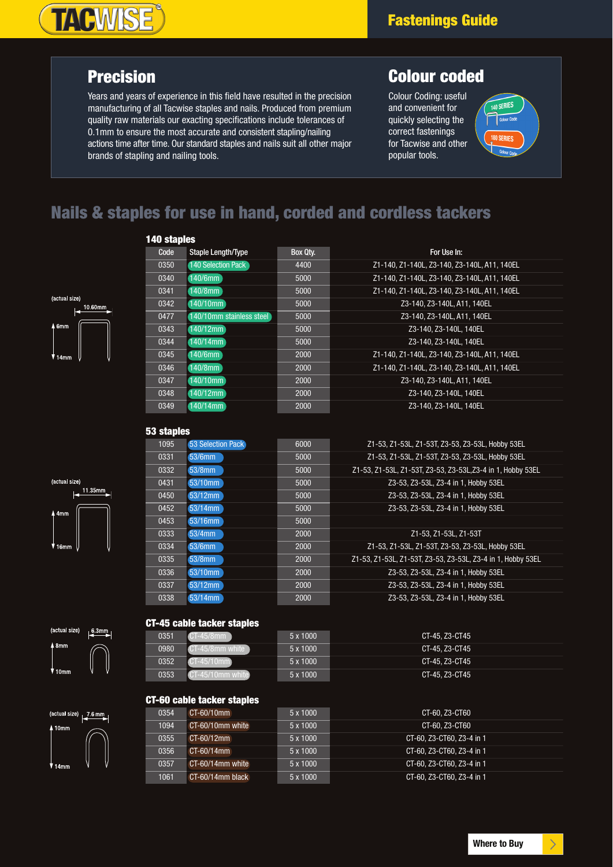# **TACWISE®**

### **Precision**

Years and years of experience in this field have resulted in the precision manufacturing of all Tacwise staples and nails. Produced from premium quality raw materials our exacting specifications include tolerances of 0.1mm to ensure the most accurate and consistent stapling/nailing actions time after time. Our standard staples and nails suit all other major brands of stapling and nailing tools.

### **Colour coded**

Colour Coding: useful and convenient for quickly selecting the correct fastenings for Tacwise and other popular tools.



### **Nails & staples for use in hand, corded and cordless tackers**



(actual size)

 $11.35mm$ 

| 140 staples |                           |          |                                              |
|-------------|---------------------------|----------|----------------------------------------------|
| Code        | <b>Staple Length/Type</b> | Box Qty. | For Use In:                                  |
| 0350        | 140 Selection Pack        | 4400     | Z1-140. Z1-140L. Z3-140. Z3-140L. A11. 140EL |
| 0340        | 140/6mm                   | 5000     | Z1-140, Z1-140L, Z3-140, Z3-140L, A11, 140EL |
| 0341        | 140/8mm                   | 5000     | Z1-140, Z1-140L, Z3-140, Z3-140L, A11, 140EL |
| 0342        | 140/10mm                  | 5000     | Z3-140, Z3-140L, A11, 140EL                  |
| 0477        | 140/10mm stainless steel  | 5000     | Z3-140, Z3-140L, A11, 140EL                  |
| 0343        | 140/12mm                  | 5000     | Z3-140, Z3-140L, 140EL                       |
| 0344        | $140/14$ mm               | 5000     | Z3-140. Z3-140L. 140EL                       |
| 0345        | 140/6mm                   | 2000     | Z1-140, Z1-140L, Z3-140, Z3-140L, A11, 140EL |
| 0346        | 140/8mm                   | 2000     | Z1-140, Z1-140L, Z3-140, Z3-140L, A11, 140EL |
| 0347        | 140/10mm                  | 2000     | Z3-140, Z3-140L, A11, 140EL                  |
| 0348        | 140/12mm                  | 2000     | Z3-140, Z3-140L, 140EL                       |
| 0349        | 140/14mm                  | 2000     | Z3-140. Z3-140L. 140EL                       |

## **53 staples**

| 1095 | 53 Selection Pack | 6000 | Z1-53, Z1-53L, Z1-53T, Z3-53, Z3-53L, Hobby 53EL            |
|------|-------------------|------|-------------------------------------------------------------|
| 0331 | 53/6mm            | 5000 | Z1-53, Z1-53L, Z1-53T, Z3-53, Z3-53L, Hobby 53EL            |
| 0332 | 53/8mm            | 5000 | Z1-53, Z1-53L, Z1-53T, Z3-53, Z3-53L, Z3-4 in 1, Hobby 53EL |
| 0431 | 53/10mm           | 5000 | Z3-53, Z3-53L, Z3-4 in 1, Hobby 53EL                        |
| 0450 | 53/12mm           | 5000 | Z3-53, Z3-53L, Z3-4 in 1, Hobby 53EL                        |
| 0452 | 53/14mm           | 5000 | Z3-53, Z3-53L, Z3-4 in 1, Hobby 53EL                        |
| 0453 | 53/16mm           | 5000 |                                                             |
| 0333 | 53/4mm            | 2000 | Z1-53. Z1-53L. Z1-53T                                       |
| 0334 | 53/6mm            | 2000 | Z1-53, Z1-53L, Z1-53T, Z3-53, Z3-53L, Hobby 53EL            |
| 0335 | $53/8$ mm         | 2000 | Z1-53, Z1-53L, Z1-53T, Z3-53, Z3-53L, Z3-4 in 1, Hobby 53EL |
| 0336 | 53/10mm           | 2000 | Z3-53, Z3-53L, Z3-4 in 1, Hobby 53EL                        |
| 0337 | 53/12mm           | 2000 | Z3-53, Z3-53L, Z3-4 in 1, Hobby 53EL                        |
| 0338 | 53/14mm           | 2000 | Z3-53, Z3-53L, Z3-4 in 1. Hobby 53EL                        |





| 0351 | 5 x 1000 | CT-45, Z3-CT45 |
|------|----------|----------------|
| 0980 | 5 x 1000 | CT-45, Z3-CT45 |
| 0352 | 5 x 1000 | CT-45, Z3-CT45 |
| 0353 | 5 x 1000 | CT-45, Z3-CT45 |

#### **CT-60 cable tacker staples**

| (actual size)       | $7.6$ mm |
|---------------------|----------|
| $\blacksquare$ 10mm |          |
|                     |          |
|                     |          |
| 14 <sub>mm</sub>    |          |

| $CT-60/10mm$        | 5 x 1000 | CT-60, Z3-CT60            |
|---------------------|----------|---------------------------|
| CT-60/10mm white    | 5 x 1000 | CT-60, Z3-CT60            |
| $CT-60/12mm$        | 5 x 1000 | CT-60, Z3-CT60, Z3-4 in 1 |
| $CT-60/14mm$        | 5 x 1000 | CT-60, Z3-CT60, Z3-4 in 1 |
| $CT-60/14$ mm white | 5 x 1000 | CT-60, Z3-CT60, Z3-4 in 1 |
| $CT-60/14$ mm black | 5 x 1000 | CT-60, Z3-CT60, Z3-4 in 1 |
|                     |          |                           |

 $\rightarrow$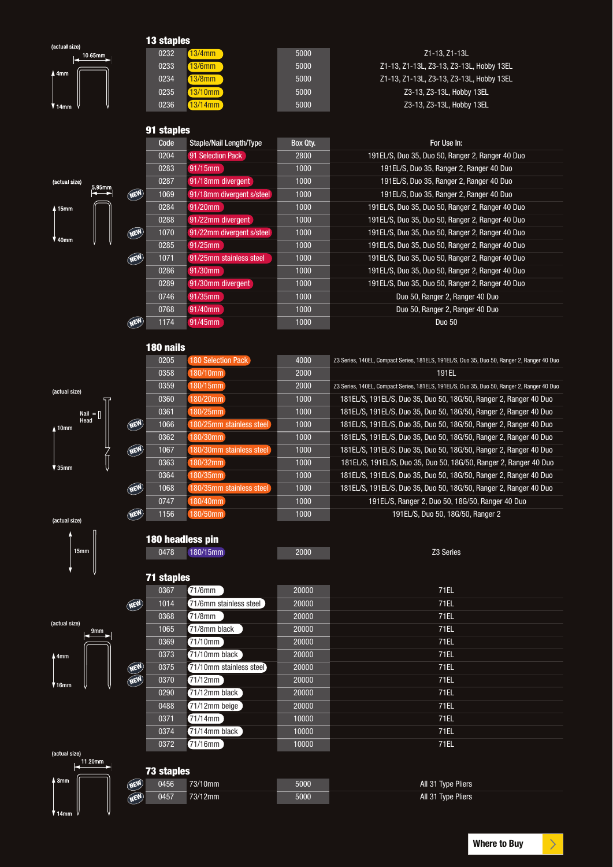|                          |            | 13 staples        |                                      |              |                                                                                                                                        |
|--------------------------|------------|-------------------|--------------------------------------|--------------|----------------------------------------------------------------------------------------------------------------------------------------|
| (actual size)<br>10.65mm |            | 0232              | 13/4mm                               | 5000         | Z1-13, Z1-13L                                                                                                                          |
|                          |            | 0233              | 13/6mm                               | 5000         | Z1-13, Z1-13L, Z3-13, Z3-13L, Hobby 13EL                                                                                               |
| $\sqrt{4}$ mm            |            | 0234              | $13/8$ mm                            | 5000         | Z1-13, Z1-13L, Z3-13, Z3-13L, Hobby 13EL                                                                                               |
|                          |            | 0235              | 13/10mm                              | 5000         | Z3-13, Z3-13L, Hobby 13EL                                                                                                              |
| V 14mm                   |            | 0236              | $13/14$ mm                           | 5000         | Z3-13, Z3-13L, Hobby 13EL                                                                                                              |
|                          |            |                   |                                      |              |                                                                                                                                        |
|                          |            | 91 staples        |                                      |              |                                                                                                                                        |
|                          |            | Code              | <b>Staple/Nail Length/Type</b>       | Box Qty.     | For Use In:                                                                                                                            |
|                          |            | 0204              | 91 Selection Pack                    | 2800         | 191EL/S, Duo 35, Duo 50, Ranger 2, Ranger 40 Duo                                                                                       |
|                          |            | 0283              | 91/15mm                              | 1000         | 191EL/S, Duo 35, Ranger 2, Ranger 40 Duo                                                                                               |
| (actual size)<br>5.95mm  |            | 0287              | 91/18mm divergent                    | 1000         | 191EL/S, Duo 35, Ranger 2, Ranger 40 Duo                                                                                               |
|                          | NEW        | 1069              | 91/18mm divergent s/steel            | 1000         | 191EL/S, Duo 35, Ranger 2, Ranger 40 Duo                                                                                               |
| 4 15mm                   |            | 0284              | 91/20mm                              | 1000         | 191EL/S, Duo 35, Duo 50, Ranger 2, Ranger 40 Duo                                                                                       |
|                          |            | 0288              | 91/22mm divergent                    | 1000         | 191EL/S, Duo 35, Duo 50, Ranger 2, Ranger 40 Duo                                                                                       |
| V 40mm                   | NEW        | 1070              | 91/22mm divergent s/steel            | 1000         | 191EL/S, Duo 35, Duo 50, Ranger 2, Ranger 40 Duo                                                                                       |
|                          |            | 0285              | 91/25mm                              | 1000         | 191EL/S, Duo 35, Duo 50, Ranger 2, Ranger 40 Duo                                                                                       |
|                          | <b>NEW</b> | 1071              | 91/25mm stainless steel              | 1000         | 191EL/S, Duo 35, Duo 50, Ranger 2, Ranger 40 Duo                                                                                       |
|                          |            | 0286              | 91/30mm                              | 1000         | 191EL/S, Duo 35, Duo 50, Ranger 2, Ranger 40 Duo                                                                                       |
|                          |            | 0289              | 91/30mm divergent                    | 1000         | 191EL/S, Duo 35, Duo 50, Ranger 2, Ranger 40 Duo                                                                                       |
|                          |            | 0746              | 91/35mm                              | 1000         | Duo 50, Ranger 2, Ranger 40 Duo                                                                                                        |
|                          |            | 0768              | 91/40mm                              | 1000         | Duo 50, Ranger 2, Ranger 40 Duo                                                                                                        |
|                          | NEW        | 1174              | 91/45mm                              | 1000         | <b>Duo 50</b>                                                                                                                          |
|                          |            |                   |                                      |              |                                                                                                                                        |
|                          |            | 180 nails         |                                      |              |                                                                                                                                        |
|                          |            | 0205              | 180 Selection Pack                   | 4000         | Z3 Series, 140EL, Compact Series, 181ELS, 191EL/S, Duo 35, Duo 50, Ranger 2, Ranger 40 Duo                                             |
|                          |            | 0358              | 180/10mm                             | 2000         | 191EL                                                                                                                                  |
| (actual size)            |            | 0359              | 180/15mm                             | 2000         | Z3 Series, 140EL, Compact Series, 181ELS, 191EL/S, Duo 35, Duo 50, Ranger 2, Ranger 40 Duo                                             |
|                          |            | 0360              | 180/20mm                             | 1000         | 181EL/S, 191EL/S, Duo 35, Duo 50, 18G/50, Ranger 2, Ranger 40 Duo                                                                      |
| Nail $=$ $\ $<br>Head    | NEW        | 0361<br>1066      | 180/25mm<br>180/25mm stainless steel | 1000<br>1000 | 181EL/S, 191EL/S, Duo 35, Duo 50, 18G/50, Ranger 2, Ranger 40 Duo<br>181EL/S, 191EL/S, Duo 35, Duo 50, 18G/50, Ranger 2, Ranger 40 Duo |
| $\Lambda$ 10mm           |            | 0362              | 180/30mm                             | 1000         | 181EL/S, 191EL/S, Duo 35, Duo 50, 18G/50, Ranger 2, Ranger 40 Duo                                                                      |
|                          | NEW        | 1067              | 180/30mm stainless steel             | 1000         | 181EL/S, 191EL/S, Duo 35, Duo 50, 18G/50, Ranger 2, Ranger 40 Duo                                                                      |
|                          |            | 0363              | 180/32mm                             | 1000         | 181EL/S, 191EL/S, Duo 35, Duo 50, 18G/50, Ranger 2, Ranger 40 Duo                                                                      |
| ♥ 35mm                   |            | 0364              | 180/35mm                             | 1000         | 181EL/S, 191EL/S, Duo 35, Duo 50, 18G/50, Ranger 2, Ranger 40 Duo                                                                      |
|                          | <b>NEW</b> | 1068              | 80/35mm stainless stee               | 1000         | 181EL/S, 191EL/S, Duo 35, Duo 50, 18G/50, Ranger 2, Ranger 40 Duo                                                                      |
|                          |            | 0747              | 180/40mm                             | 1000         | 191EL/S, Ranger 2, Duo 50, 18G/50, Ranger 40 Duo                                                                                       |
|                          | NEW        | 1156              | 180/50mm                             | 1000         | 191EL/S, Duo 50, 18G/50, Ranger 2                                                                                                      |
| (actual size)            |            |                   |                                      |              |                                                                                                                                        |
|                          |            | 180 headless pin  |                                      |              |                                                                                                                                        |
| 15mm                     |            | 0478              | 180/15mm                             | 2000         | Z3 Series                                                                                                                              |
|                          |            |                   |                                      |              |                                                                                                                                        |
|                          |            | <b>71 staples</b> |                                      |              |                                                                                                                                        |
|                          |            | 0367              | 71/6mm                               | 20000        | <b>71EL</b>                                                                                                                            |
|                          | <b>NEW</b> | 1014              | 71/6mm stainless steel               | 20000        | 71EL                                                                                                                                   |
|                          |            | 0368              | 71/8mm                               | 20000        | 71EL                                                                                                                                   |
| (actual size)<br>.9mm    |            | 1065              | 71/8mm black                         | 20000        | 71EL                                                                                                                                   |
|                          |            | 0369              | 71/10mm                              | 20000        | 71EL                                                                                                                                   |
| 44mm                     |            | 0373              | 71/10mm black                        | 20000        | 71EL                                                                                                                                   |
|                          | <b>WEW</b> | 0375              | 71/10mm stainless steel              | 20000        | 71EL                                                                                                                                   |
| $V$ 16mm                 | <b>NEW</b> | 0370              | 71/12mm                              | 20000        | 71EL                                                                                                                                   |
|                          |            | 0290              | 71/12mm black                        | 20000        | 71EL                                                                                                                                   |
|                          |            | 0488              | 71/12mm beige                        | 20000        | 71EL                                                                                                                                   |
|                          |            | 0371              | 71/14mm                              | 10000        | 71EL                                                                                                                                   |
|                          |            | 0374              | 71/14mm black                        | 10000        | 71EL                                                                                                                                   |
|                          |            | 0372              | 71/16mm                              | 10000        | 71EL                                                                                                                                   |
| (actual size)<br>11.20mm |            |                   |                                      |              |                                                                                                                                        |
|                          |            | <b>73 staples</b> |                                      |              |                                                                                                                                        |
| $\sqrt{48}$ mm           | <b>NEW</b> | 0456              | 73/10mm                              | 5000         | All 31 Type Pliers                                                                                                                     |
|                          | WEW        | 0457              | 73/12mm                              | 5000         | All 31 Type Pliers                                                                                                                     |

 $\left\| \right\|_1$  14mm

 $\bigg\}$ 

 $\overline{\phantom{a}}$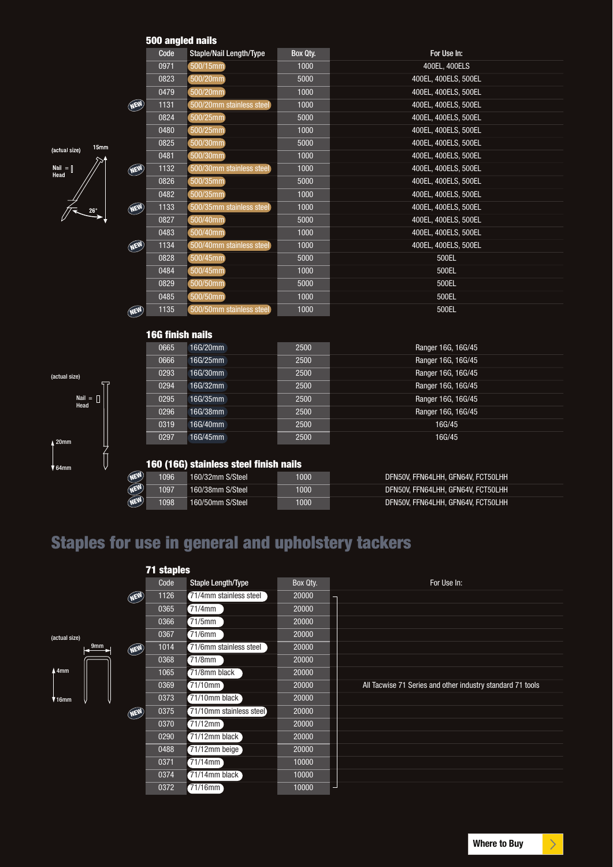#### **500 angled nails**

|                       |         |            | JUU ANYIGU NANS         |                                        |          |                                    |
|-----------------------|---------|------------|-------------------------|----------------------------------------|----------|------------------------------------|
|                       |         |            | Code                    | <b>Staple/Nail Length/Type</b>         | Box Qty. | For Use In:                        |
|                       |         |            | 0971                    | 500/15mm                               | 1000     | 400EL, 400ELS                      |
|                       |         |            | 0823                    | 500/20mm                               | 5000     | 400EL, 400ELS, 500EL               |
|                       |         |            | 0479                    | 500/20mm                               | 1000     | 400EL, 400ELS, 500EL               |
|                       |         | <b>NEW</b> | 1131                    | 500/20mm stainless steel               | 1000     | 400EL, 400ELS, 500EL               |
|                       |         |            | 0824                    | 500/25mm                               | 5000     | 400EL, 400ELS, 500EL               |
|                       |         |            | 0480                    | 500/25mm                               | 1000     | 400EL, 400ELS, 500EL               |
| (actual size)         | 15mm    |            | 0825                    | 500/30mm                               | 5000     | 400EL, 400ELS, 500EL               |
|                       |         |            | 0481                    | 500/30mm                               | 1000     | 400EL, 400ELS, 500EL               |
| $Nail = []$<br>Head   |         | <b>NEW</b> | 1132                    | 500/30mm stainless steel               | 1000     | 400EL, 400ELS, 500EL               |
|                       |         |            | 0826                    | 500/35mm                               | 5000     | 400EL, 400ELS, 500EL               |
|                       |         |            | 0482                    | 500/35mm                               | 1000     | 400EL, 400ELS, 500EL               |
|                       |         | NEW        | 1133                    | 500/35mm stainless steel               | 1000     | 400EL, 400ELS, 500EL               |
|                       |         |            | 0827                    | 500/40mm                               | 5000     | 400EL, 400ELS, 500EL               |
|                       |         |            | 0483                    | 500/40mm                               | 1000     | 400EL, 400ELS, 500EL               |
|                       |         | NEW        | 1134                    | 500/40mm stainless steel               | 1000     | 400EL, 400ELS, 500EL               |
|                       |         |            | 0828                    | 500/45mm                               | 5000     | 500EL                              |
|                       |         |            | 0484                    | 500/45mm                               | 1000     | 500EL                              |
|                       |         |            | 0829                    | 500/50mm                               | 5000     | 500EL                              |
|                       |         |            | 0485                    | 500/50mm                               | 1000     | 500EL                              |
|                       |         | NEW        | 1135                    | 500/50mm stainless steel               | 1000     | 500EL                              |
|                       |         |            |                         |                                        |          |                                    |
|                       |         |            | <b>16G finish nails</b> |                                        |          |                                    |
|                       |         |            | 0665                    | 16G/20mm                               | 2500     | Ranger 16G, 16G/45                 |
|                       |         |            | 0666                    | 16G/25mm                               | 2500     | Ranger 16G, 16G/45                 |
| (actual size)         |         |            | 0293                    | 16G/30mm                               | 2500     | Ranger 16G, 16G/45                 |
|                       |         |            | 0294                    | 16G/32mm                               | 2500     | Ranger 16G, 16G/45                 |
| Nail = $\Box$<br>Head |         |            | 0295                    | 16G/35mm                               | 2500     | Ranger 16G, 16G/45                 |
|                       |         |            | 0296                    | 16G/38mm                               | 2500     | Ranger 16G, 16G/45                 |
|                       |         |            | 0319                    | 16G/40mm                               | 2500     | 16G/45                             |
| $\sqrt{20}$ mm        |         |            | 0297                    | 16G/45mm                               | 2500     | 16G/45                             |
|                       | 7<br> } |            |                         |                                        |          |                                    |
| ¶ 64mm                |         |            |                         | 160 (16G) stainless steel finish nails |          |                                    |
|                       |         | <b>NEW</b> | 1096                    | 160/32mm S/Steel                       | 1000     | DFN50V, FFN64LHH, GFN64V, FCT50LHH |
|                       |         | <b>NEW</b> | 1097                    | 160/38mm S/Steel                       | 1000     | DFN50V, FFN64LHH, GFN64V, FCT50LHH |
|                       |         | <b>NEW</b> | 1098                    | 160/50mm S/Steel                       | 1000     | DFN50V, FFN64LHH, GFN64V, FCT50LHH |

# **Staples for use in general and upholstery tackers**

|               |                 |     | <b>71 staples</b> |                         |          |                                                            |
|---------------|-----------------|-----|-------------------|-------------------------|----------|------------------------------------------------------------|
|               |                 |     | Code              | Staple Length/Type      | Box Qty. | For Use In:                                                |
|               |                 | NEW | 1126              | 71/4mm stainless steel  | 20000    |                                                            |
|               |                 |     | 0365              | $71/4$ mm               | 20000    |                                                            |
|               |                 |     | 0366              | $71/5$ mm               | 20000    |                                                            |
| (actual size) |                 |     | 0367              | $71/6$ mm               | 20000    |                                                            |
|               | 9 <sub>mm</sub> | NEW | 1014              | 71/6mm stainless steel  | 20000    |                                                            |
|               |                 |     | 0368              | $71/8$ mm               | 20000    |                                                            |
| 4 4mm         |                 |     | 1065              | 71/8mm black            | 20000    |                                                            |
|               |                 |     | 0369              | $71/10$ mm              | 20000    | All Tacwise 71 Series and other industry standard 71 tools |
| $*16$ mm      |                 |     | 0373              | 71/10mm black           | 20000    |                                                            |
|               |                 | NEW | 0375              | 71/10mm stainless steel | 20000    |                                                            |
|               |                 |     | 0370              | 71/12mm                 | 20000    |                                                            |
|               |                 |     | 0290              | 71/12mm black           | 20000    |                                                            |
|               |                 |     | 0488              | 71/12mm beige           | 20000    |                                                            |
|               |                 |     | 0371              | $71/14$ mm              | 10000    |                                                            |
|               |                 |     | 0374              | 71/14mm black           | 10000    |                                                            |
|               |                 |     | 0372              | $71/16$ mm              | 10000    |                                                            |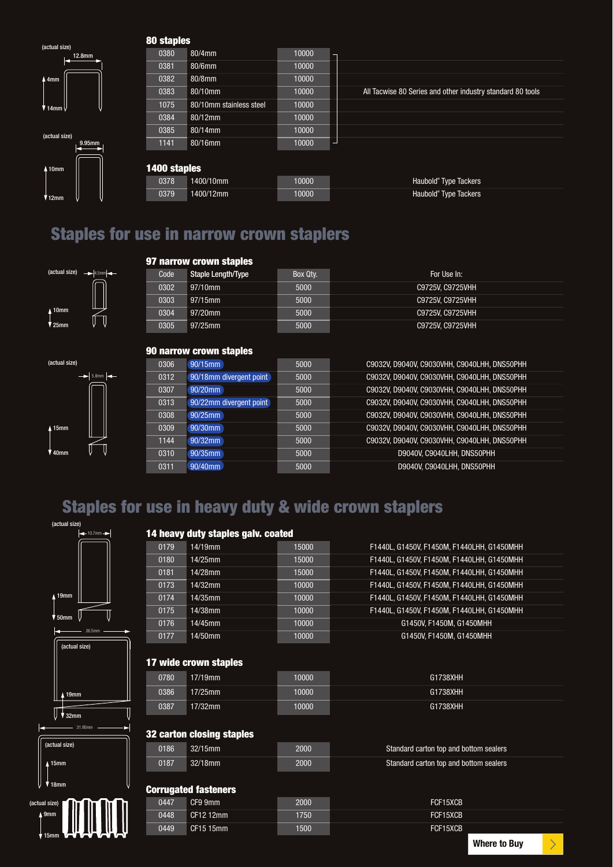(actual size) 4mm  $\frac{12.8 \text{mm}}{2.12 \cdot 10^{11}}$ 

 $\overline{14}$ mm

(actual size)

 $\frac{9.95 \text{m}}{6}$ 

10mm

12mm

#### **80 staples**

| 0380         | 80/4mm                  | 10000 |                                                            |
|--------------|-------------------------|-------|------------------------------------------------------------|
| 0381         | 80/6mm                  | 10000 |                                                            |
| 0382         | 80/8mm                  | 10000 |                                                            |
| 0383         | 80/10mm                 | 10000 | All Tacwise 80 Series and other industry standard 80 tools |
| 1075         | 80/10mm stainless steel | 10000 |                                                            |
| 0384         | 80/12mm                 | 10000 |                                                            |
| 0385         | 80/14mm                 | 10000 |                                                            |
| 1141         | 80/16mm                 | 10000 |                                                            |
|              |                         |       |                                                            |
| 1400 staples |                         |       |                                                            |
| 0378         | 1400/10mm               | 10000 | Haubold <sup>®</sup> Type Tackers                          |
| 0379         | 1400/12mm               | 10000 | Haubold <sup>®</sup> Type Tackers                          |
|              |                         |       |                                                            |

### **Staples for use in narrow crown staplers**





#### **97 narrow crown staples**

| Code | <b>Staple Length/Type</b> | Box Qty. | For Use In:      |
|------|---------------------------|----------|------------------|
| 0302 | 97/10mm                   | 5000     | C9725V. C9725VHH |
| 0303 | 97/15mm                   | 5000     | C9725V. C9725VHH |
| 0304 | 97/20mm                   | 5000     | C9725V. C9725VHH |
| 0305 | $97/25$ mm                | 5000     | C9725V. C9725VHH |

### **90 narrow crown staples**

| 0306 | 90/15mm                 | 5000 | C9032V, D9040V, C9030VHH, C9040LHH, DNS50PHH |
|------|-------------------------|------|----------------------------------------------|
| 0312 | 90/18mm divergent point | 5000 | C9032V, D9040V, C9030VHH, C9040LHH, DNS50PHH |
| 0307 | 90/20mm                 | 5000 | C9032V, D9040V, C9030VHH, C9040LHH, DNS50PHH |
| 0313 | 90/22mm divergent point | 5000 | C9032V, D9040V, C9030VHH, C9040LHH, DNS50PHH |
| 0308 | 90/25mm                 | 5000 | C9032V, D9040V, C9030VHH, C9040LHH, DNS50PHH |
| 0309 | 90/30mm                 | 5000 | C9032V, D9040V, C9030VHH, C9040LHH, DNS50PHH |
| 1144 | 90/32mm                 | 5000 | C9032V, D9040V, C9030VHH, C9040LHH, DNS50PHH |
| 0310 | 90/35mm                 | 5000 | D9040V, C9040LHH, DNS50PHH                   |
| 0311 | 90/40mm                 | 5000 | D9040V, C9040LHH, DNS50PHH                   |

### **Staples for use in heavy duty & wide crown staplers**

| (actual size)             |      |                                    |       |                                            |
|---------------------------|------|------------------------------------|-------|--------------------------------------------|
| $-10.7$ mm $-$            |      | 14 heavy duty staples galv. coated |       |                                            |
|                           | 0179 | 14/19mm                            | 15000 | F1440L, G1450V, F1450M, F1440LHH, G1450MHH |
|                           | 0180 | 14/25mm                            | 15000 | F1440L, G1450V, F1450M, F1440LHH, G1450MHH |
|                           | 0181 | 14/28mm                            | 15000 | F1440L, G1450V, F1450M, F1440LHH, G1450MHH |
|                           | 0173 | 14/32mm                            | 10000 | F1440L, G1450V, F1450M, F1440LHH, G1450MHH |
| $\triangle$ 19mm          | 0174 | 14/35mm                            | 10000 | F1440L, G1450V, F1450M, F1440LHH, G1450MHH |
| $\blacktriangledown$ 50mm | 0175 | 14/38mm                            | 10000 | F1440L, G1450V, F1450M, F1440LHH, G1450MHH |
| 26.5mm                    | 0176 | 14/45mm                            | 10000 | G1450V, F1450M, G1450MHH                   |
|                           | 0177 | 14/50mm                            | 10000 | G1450V, F1450M, G1450MHH                   |
| (actual size)             |      |                                    |       |                                            |
|                           |      | 17 wide crown staples              |       |                                            |
|                           | 0780 | 17/19mm                            | 10000 | G1738XHH                                   |
| 19mm                      | 0386 | 17/25mm                            | 10000 | G1738XHH                                   |
|                           | 0387 | 17/32mm                            | 10000 | G1738XHH                                   |
| $V_{32mm}$<br>31.95mm     |      |                                    |       |                                            |
|                           |      | 32 carton closing staples          |       |                                            |
| (actual size)             | 0186 | 32/15mm                            | 2000  | Standard carton top and bottom sealers     |
| $\triangle$ 15mm          | 0187 | 32/18mm                            | 2000  | Standard carton top and bottom sealers     |
|                           |      |                                    |       |                                            |
| $V$ 18mm                  |      | <b>Corrugated fasteners</b>        |       |                                            |
| (actual size)             | 0447 | CF9 9mm                            | 2000  | FCF15XCB                                   |
| $\Delta$ 9mm              | 0448 | CF12 12mm                          | 1750  | FCF15XCB                                   |
| $\sqrt{15}$ mm            | 0449 | CF15 15mm                          | 1500  | FCF15XCB                                   |

**[Where to Buy](http://www.tacwise.com/buy/)**

 $\rightarrow$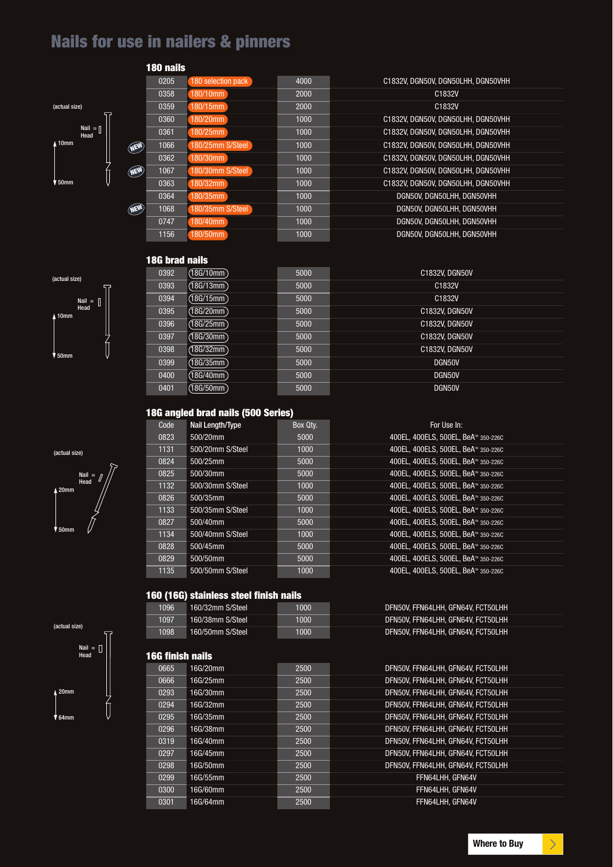### **Nails for use in nailers & pinners**



(actual size)

10mm

Nail = Head

50mm

(actual size)

Nail = Head

20mm

50mm

| 180 nails |                    |      |                                    |
|-----------|--------------------|------|------------------------------------|
| 0205      | 180 selection pack | 4000 | C1832V, DGN50V, DGN50LHH, DGN50VHH |
| 0358      | 180/10mm           | 2000 | C1832V                             |
| 0359      | $180/15$ mm        | 2000 | C1832V                             |
| 0360      | 180/20mm           | 1000 | C1832V, DGN50V, DGN50LHH, DGN50VHH |
| 0361      | $180/25$ mm        | 1000 | C1832V, DGN50V, DGN50LHH, DGN50VHH |
| 1066      | 180/25mm S/Steel   | 1000 | C1832V. DGN50V. DGN50LHH. DGN50VHH |
| 0362      | 80/30mm            | 1000 | C1832V. DGN50V. DGN50LHH. DGN50VHH |
| 1067      | 180/30mm S/Steel   | 1000 | C1832V. DGN50V. DGN50LHH. DGN50VHH |
| 0363      | 180/32mm           | 1000 | C1832V, DGN50V, DGN50LHH, DGN50VHH |
| 0364      | 180/35mm           | 1000 | DGN50V, DGN50LHH, DGN50VHH         |
| 1068      | 180/35mm S/Steel   | 1000 | DGN50V. DGN50LHH. DGN50VHH         |
| 0747      | 180/40mm           | 1000 | DGN50V, DGN50LHH, DGN50VHH         |
| 1156      | 180/50mm           | 1000 | DGN50V. DGN50LHH. DGN50VHH         |

### **18G brad nails**

NEW

NEW

NEW



#### **18G angled brad nails (500 Series)**

| Code | Nail Length/Type | Box Qty. | For Use In:                                     |
|------|------------------|----------|-------------------------------------------------|
| 0823 | 500/20mm         | 5000     | 400EL, 400ELS, 500EL, BeA <sup>™</sup> 350-226C |
| 1131 | 500/20mm S/Steel | 1000     | 400EL, 400ELS, 500EL, BeA <sup>™</sup> 350-226C |
| 0824 | 500/25mm         | 5000     | 400EL, 400ELS, 500EL, BeA™ 350-226C             |
| 0825 | 500/30mm         | 5000     | 400EL, 400ELS, 500EL, BeA <sup>™</sup> 350-226C |
| 1132 | 500/30mm S/Steel | 1000     | 400EL, 400ELS, 500EL, BeA™ 350-226C             |
| 0826 | 500/35mm         | 5000     | 400EL. 400ELS. 500EL. BeA™ 350-226C             |
| 1133 | 500/35mm S/Steel | 1000     | 400EL, 400ELS, 500EL, BeA <sup>™</sup> 350-226C |
| 0827 | 500/40mm         | 5000     | 400EL. 400ELS. 500EL. BeA™ 350-226C             |
| 1134 | 500/40mm S/Steel | 1000     | 400EL, 400ELS, 500EL, BeA™ 350-226C             |
| 0828 | 500/45mm         | 5000     | 400EL, 400ELS, 500EL, BeA™ 350-226C             |
| 0829 | 500/50mm         | 5000     | 400EL, 400ELS, 500EL, BeA <sup>™</sup> 350-226C |
| 1135 | 500/50mm S/Steel | 1000     | 400EL. 400ELS. 500EL. BeA™ 350-226C             |

#### **160 (16G) stainless steel finish nails**

| 1096 | 160/32mm S/Steel | 1000 | DFN50V. FFN64LHH. GFN64V. FCT50LHH |
|------|------------------|------|------------------------------------|
| 1097 | 160/38mm S/Steel | 1000 | DFN50V. FFN64LHH. GFN64V. FCT50LHH |
| 1098 | 160/50mm S/Steel | 1000 | DFN50V. FFN64LHH. GFN64V. FCT50LHH |

#### **16G finish nails**

| гчч плен папе |          |      |                                    |
|---------------|----------|------|------------------------------------|
| 0665          | 16G/20mm | 2500 | DFN50V. FFN64LHH. GFN64V. FCT50LHH |
| 0666          | 16G/25mm | 2500 | DFN50V. FFN64LHH. GFN64V. FCT50LHH |
| 0293          | 16G/30mm | 2500 | DFN50V. FFN64LHH. GFN64V. FCT50LHH |
| 0294          | 16G/32mm | 2500 | DFN50V. FFN64LHH. GFN64V. FCT50LHH |
| 0295          | 16G/35mm | 2500 | DFN50V. FFN64LHH. GFN64V. FCT50LHH |
| 0296          | 16G/38mm | 2500 | DFN50V. FFN64LHH. GFN64V. FCT50LHH |
| 0319          | 16G/40mm | 2500 | DFN50V. FFN64LHH. GFN64V. FCT50LHH |
| 0297          | 16G/45mm | 2500 | DFN50V. FFN64LHH. GFN64V. FCT50LHH |
| 0298          | 16G/50mm | 2500 | DFN50V. FFN64LHH. GFN64V. FCT50LHH |
| 0299          | 16G/55mm | 2500 | FFN64LHH. GFN64V                   |
| 0300          | 16G/60mm | 2500 | FFN64LHH. GFN64V                   |
| 0301          | 16G/64mm | 2500 | FFN64LHH. GFN64V                   |
|               |          |      |                                    |

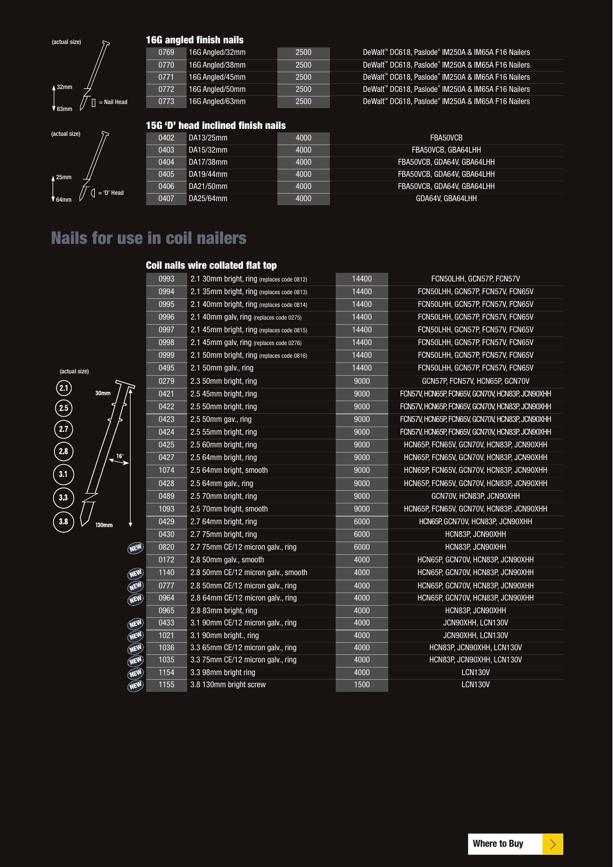

 $\int \int \int$  = 'D' Head

(actual size)

25mm  $\overline{V}$  64

#### **16G angled finish nails**

| 0769 | 16G Analed/32mm | 2500 | DeWalt <sup>™</sup> DC618. Paslode® IM250A & IM65A F16 Nailers |
|------|-----------------|------|----------------------------------------------------------------|
| 0770 | 16G Analed/38mm | 2500 | DeWalt™ DC618. Paslode® IM250A & IM65A F16 Nailers             |
| 0771 | 16G Angled/45mm | 2500 | DeWalt <sup>™</sup> DC618. Paslode® IM250A & IM65A F16 Nailers |
| 0772 | 16G Analed/50mm | 2500 | DeWalt™ DC618. Paslode® IM250A & IM65A F16 Nailers             |
| 0773 | 16G Angled/63mm | 2500 | DeWalt <sup>™</sup> DC618, Paslode® IM250A & IM65A F16 Nailers |

#### **15G 'D' head inclined finish nails**

| 0402 | DA13/25mm | 4000 | FBA50VCB                   |
|------|-----------|------|----------------------------|
| 0403 | DA15/32mm | 4000 | FBA50VCB, GBA64LHH         |
| 0404 | DA17/38mm | 4000 | FBA50VCB, GDA64V, GBA64LHH |
| 0405 | DA19/44mm | 4000 | FBA50VCB, GDA64V, GBA64LHH |
| 0406 | DA21/50mm | 4000 | FBA50VCB, GDA64V, GBA64LHH |
| 0407 | DA25/64mm | 4000 | GDA64V. GBA64LHH           |

### **Nails for use in coil nailers**

#### **Coil nails wire collated flat top**

|            | 0993 | 2.1 30mm bright, ring (replaces code 0812) | 14400 | FCN50LHH, GCN57P, FCN57V                         |
|------------|------|--------------------------------------------|-------|--------------------------------------------------|
|            | 0994 | 2.1 35mm bright, ring (replaces code 0813) | 14400 | FCN50LHH, GCN57P, FCN57V, FCN65V                 |
|            | 0995 | 2.1 40mm bright, ring (replaces code 0814) | 14400 | FCN50LHH, GCN57P, FCN57V, FCN65V                 |
|            | 0996 | 2.1 40mm galv, ring (replaces code 0275)   | 14400 | FCN50LHH, GCN57P, FCN57V, FCN65V                 |
|            | 0997 | 2.1 45mm bright, ring (replaces code 0815) | 14400 | FCN50LHH, GCN57P, FCN57V, FCN65V                 |
|            | 0998 | 2.1 45mm galv, ring (replaces code 0276)   | 14400 | FCN50LHH, GCN57P, FCN57V, FCN65V                 |
|            | 0999 | 2.1 50mm bright, ring (replaces code 0816) | 14400 | FCN50LHH, GCN57P, FCN57V, FCN65V                 |
|            | 0495 | 2.1 50mm galv., ring                       | 14400 | FCN50LHH, GCN57P, FCN57V, FCN65V                 |
|            | 0279 | 2.3 50mm bright, ring                      | 9000  | GCN57P, FCN57V, HCN65P, GCN70V                   |
|            | 0421 | 2.5 45mm bright, ring                      | 9000  | FCN57V, HCN65P, FCN65V, GCN70V, HCN83P, JCN90XHH |
|            | 0422 | 2.5 50mm bright, ring                      | 9000  | FCN57V, HCN65P, FCN65V, GCN70V, HCN83P, JCN90XHH |
|            | 0423 | 2.5 50mm gav., ring                        | 9000  | FCN57V, HCN65P, FCN65V, GCN70V, HCN83P, JCN90XHH |
|            | 0424 | 2.5 55mm bright, ring                      | 9000  | FCN57V, HCN65P, FCN65V, GCN70V, HCN83P, JCN90XHH |
|            | 0425 | 2.5 60mm bright, ring                      | 9000  | HCN65P, FCN65V, GCN70V, HCN83P, JCN90XHH         |
| $6^\circ$  | 0427 | 2.5 64mm bright, ring                      | 9000  | HCN65P, FCN65V, GCN70V, HCN83P, JCN90XHH         |
|            | 1074 | 2.5 64mm bright, smooth                    | 9000  | HCN65P, FCN65V, GCN70V, HCN83P, JCN90XHH         |
|            | 0428 | 2.5 64mm galv., ring                       | 9000  | HCN65P, FCN65V, GCN70V, HCN83P, JCN90XHH         |
|            | 0489 | 2.5 70mm bright, ring                      | 9000  | GCN70V, HCN83P, JCN90XHH                         |
|            | 1093 | 2.5 70mm bright, smooth                    | 9000  | HCN65P, FCN65V, GCN70V, HCN83P, JCN90XHH         |
|            | 0429 | 2.7 64mm bright, ring                      | 6000  | HCN65P, GCN70V, HCN83P, JCN90XHH                 |
|            | 0430 | 2.7 75mm bright, ring                      | 6000  | HCN83P, JCN90XHH                                 |
| <b>NEW</b> | 0820 | 2.7 75mm CE/12 micron galv., ring          | 6000  | HCN83P, JCN90XHH                                 |
|            | 0172 | 2.8 50mm galv., smooth                     | 4000  | HCN65P, GCN70V, HCN83P, JCN90XHH                 |
| NEW        | 1140 | 2.8 50mm CE/12 micron galv., smooth        | 4000  | HCN65P, GCN70V, HCN83P, JCN90XHH                 |
| <b>NEW</b> | 0777 | 2.8 50mm CE/12 micron galv., ring          | 4000  | HCN65P, GCN70V, HCN83P, JCN90XHH                 |
| NEW        | 0964 | 2.8 64mm CE/12 micron galv., ring          | 4000  | HCN65P, GCN70V, HCN83P, JCN90XHH                 |
|            | 0965 | 2.8 83mm bright, ring                      | 4000  | HCN83P, JCN90XHH                                 |
| <b>NEW</b> | 0433 | 3.1 90mm CE/12 micron galv., ring          | 4000  | JCN90XHH, LCN130V                                |
| <b>NEW</b> | 1021 | 3.1 90mm bright., ring                     | 4000  | JCN90XHH, LCN130V                                |
| NEW        | 1036 | 3.3 65mm CE/12 micron galv., ring          | 4000  | HCN83P, JCN90XHH, LCN130V                        |
| NEW        | 1035 | 3.3 75mm CE/12 micron galv., ring          | 4000  | HCN83P, JCN90XHH, LCN130V                        |
| NEW        | 1154 | 3.3 98mm bright ring                       | 4000  | <b>LCN130V</b>                                   |
| <b>NEW</b> | 1155 | 3.8 130mm bright screw                     | 1500  | <b>LCN130V</b>                                   |



 $130$ mm